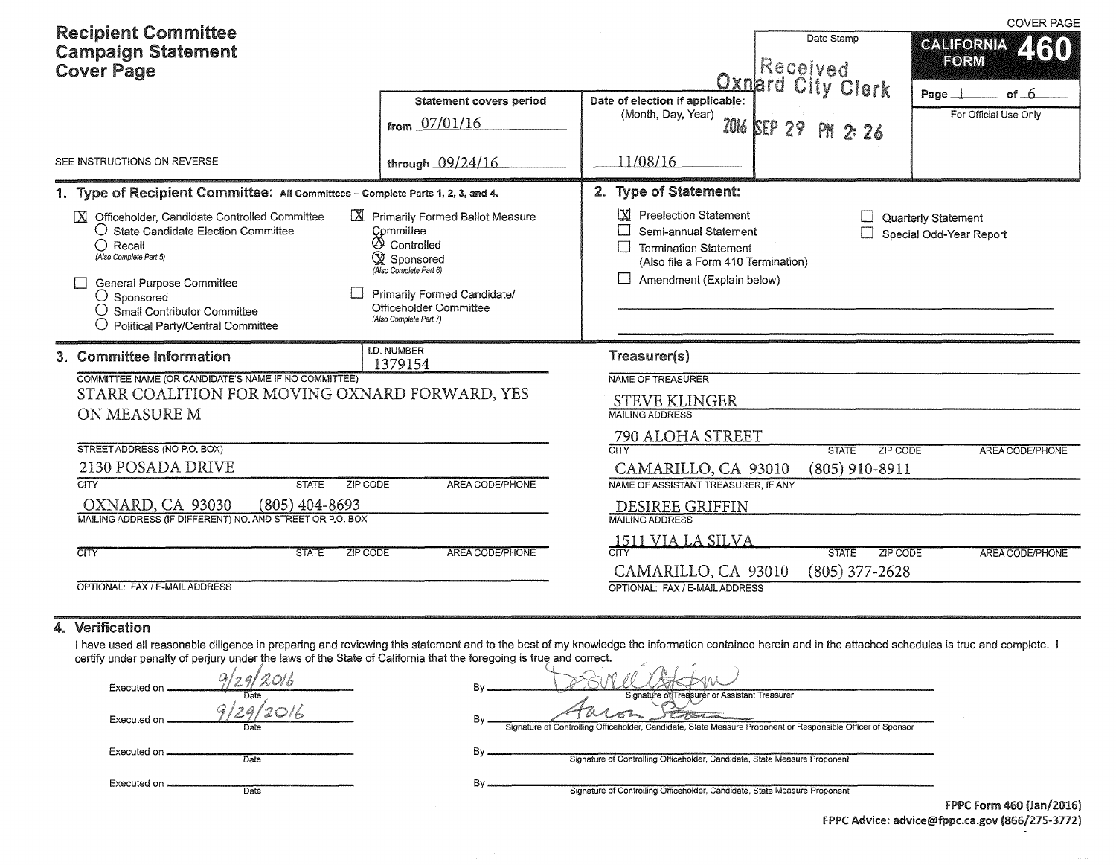| <b>Recipient Committee</b><br><b>Campaign Statement</b><br><b>Cover Page</b>                                                                                                                                                                                                                 | <b>Statement covers period</b><br>from 07/01/16                                                                                                                                                          | Date of election if applicable:<br>(Month, Day, Year)                                                                                                           | Date Stamp<br>Received<br>Oxnard City Clerk<br>2016 SEP 29 PM 2: 26 | <b>COVER PAGE</b><br><b>CALIFORNIA</b><br>460<br>FORM<br>of 6<br>Page _]<br>For Official Use Only |
|----------------------------------------------------------------------------------------------------------------------------------------------------------------------------------------------------------------------------------------------------------------------------------------------|----------------------------------------------------------------------------------------------------------------------------------------------------------------------------------------------------------|-----------------------------------------------------------------------------------------------------------------------------------------------------------------|---------------------------------------------------------------------|---------------------------------------------------------------------------------------------------|
| SEE INSTRUCTIONS ON REVERSE                                                                                                                                                                                                                                                                  | through 09/24/16                                                                                                                                                                                         | 11/08/16                                                                                                                                                        |                                                                     |                                                                                                   |
| 1. Type of Recipient Committee: All Committees - Complete Parts 1, 2, 3, and 4.                                                                                                                                                                                                              |                                                                                                                                                                                                          | 2. Type of Statement:                                                                                                                                           |                                                                     |                                                                                                   |
| X Officeholder, Candidate Controlled Committee<br>$\bigcirc$ State Candidate Election Committee<br>$\bigcirc$ Recall<br>(Also Complete Part 5)<br><b>General Purpose Committee</b><br>$\bigcirc$ Sponsored<br><b>Small Contributor Committee</b><br><b>Political Party/Central Committee</b> | X Primarily Formed Ballot Measure<br>Committee<br><b>4</b> Controlled<br><b>X</b> Sponsored<br>(Also Complete Part 6)<br>Primarily Formed Candidate/<br>Officeholder Committee<br>(Also Complete Part 7) | IX.<br><b>Preelection Statement</b><br>Semi-annual Statement<br><b>Termination Statement</b><br>(Also file a Form 410 Termination)<br>Amendment (Explain below) |                                                                     | Quarterly Statement<br>Special Odd-Year Report                                                    |
| 3. Committee Information                                                                                                                                                                                                                                                                     | <b>I.D. NUMBER</b><br>1379154                                                                                                                                                                            | Treasurer(s)                                                                                                                                                    |                                                                     |                                                                                                   |
| COMMITTEE NAME (OR CANDIDATE'S NAME IF NO COMMITTEE)<br>STARR COALITION FOR MOVING OXNARD FORWARD, YES                                                                                                                                                                                       |                                                                                                                                                                                                          | <b>NAME OF TREASURER</b>                                                                                                                                        |                                                                     |                                                                                                   |
| ON MEASURE M                                                                                                                                                                                                                                                                                 |                                                                                                                                                                                                          | <b>STEVE KLINGER</b><br><b>MAILING ADDRESS</b>                                                                                                                  |                                                                     |                                                                                                   |
|                                                                                                                                                                                                                                                                                              |                                                                                                                                                                                                          | 790 ALOHA STREET                                                                                                                                                |                                                                     |                                                                                                   |
| STREET ADDRESS (NO P.O. BOX)                                                                                                                                                                                                                                                                 |                                                                                                                                                                                                          | $\overline{\text{CITY}}$                                                                                                                                        | <b>STATE</b><br><b>ZIP CODE</b>                                     | <b>AREA CODE/PHONE</b>                                                                            |
| 2130 POSADA DRIVE<br>$\overline{\text{CITY}}$<br><b>STATE</b><br><b>ZIP CODE</b>                                                                                                                                                                                                             | AREA CODE/PHONE                                                                                                                                                                                          | CAMARILLO, CA 93010<br>NAME OF ASSISTANT TREASURER, IF ANY                                                                                                      | $(805)$ 910-8911                                                    |                                                                                                   |
| OXNARD, CA 93030<br>$(805)$ 404-8693                                                                                                                                                                                                                                                         |                                                                                                                                                                                                          | <b>DESIREE GRIFFIN</b>                                                                                                                                          |                                                                     |                                                                                                   |
| MAILING ADDRESS (IF DIFFERENT) NO. AND STREET OR P.O. BOX                                                                                                                                                                                                                                    |                                                                                                                                                                                                          | <b>MAILING ADDRESS</b>                                                                                                                                          |                                                                     |                                                                                                   |
| <b>CITY</b><br><b>STATE</b><br><b>ZIP CODE</b>                                                                                                                                                                                                                                               | AREA CODE/PHONE                                                                                                                                                                                          | 1511 VIA LA SILVA                                                                                                                                               | <b>STATE</b><br>ZIP CODE                                            | <b>AREA CODE/PHONE</b>                                                                            |
|                                                                                                                                                                                                                                                                                              |                                                                                                                                                                                                          | CAMARILLO, CA 93010                                                                                                                                             | $(805)$ 377-2628                                                    |                                                                                                   |
| OPTIONAL: FAX / E-MAIL ADDRESS                                                                                                                                                                                                                                                               |                                                                                                                                                                                                          | OPTIONAL: FAX / E-MAIL ADDRESS                                                                                                                                  |                                                                     |                                                                                                   |

## 4. Verification

I have used all reasonable diligence in preparing and reviewing this statement and to the best of my knowledge the information contained herein and in the attached schedules is true and complete. I certify under penalty of perjury under the laws of the State of California that the foregoing is true and correct.  $\epsilon_{\alpha}$ ,  $\epsilon$  $\mathcal{A}_\mathbf{c}$ 

| Executed on                  |                                                                                                                                                              |                      |
|------------------------------|--------------------------------------------------------------------------------------------------------------------------------------------------------------|----------------------|
| Date<br>Executed on.<br>Date | Signature of Treasurer or Assistant Treasurer<br>Signature of Controlling Officeholder, Candidate, State Measure Proponent or Responsible Officer of Sponsor |                      |
| Executed on<br>Date          | Signature of Controlling Officeholder, Candidate, State Measure Proponent                                                                                    |                      |
| Executed on.<br>Date         | Bν<br>Signature of Controlling Officeholder, Candidate, State Measure Proponent                                                                              |                      |
|                              |                                                                                                                                                              | FPPC Form 460 (Jan/2 |

n/2016) FPPC Advice: advice@fppc.ca.gov (866/275-3712)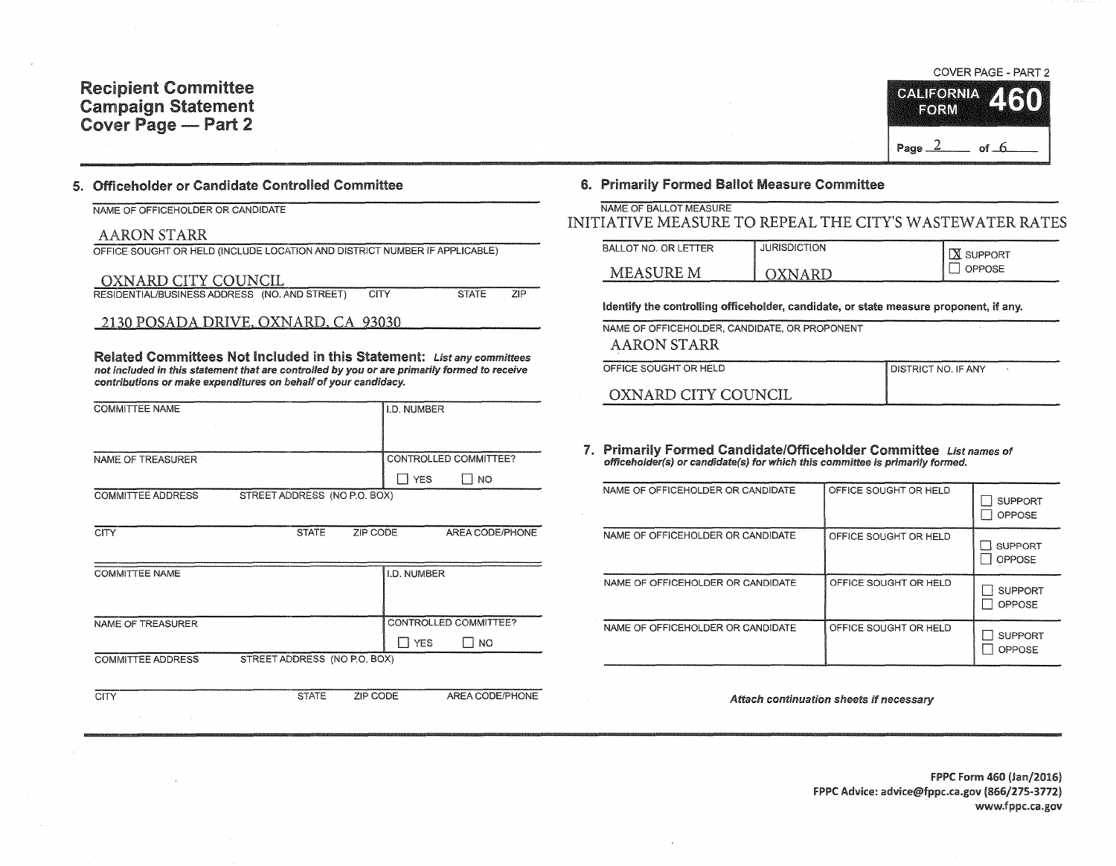## 5. Officeholder or Candidate Controlled Committee

NAME OF OFFICEHOLDER OR CANDIDATE

## AARON STARR

| OFFICE SOUGHT OR HELD (INCLUDE LOCATION AND DISTRICT NUMBER IF APPLICABLE) |      |              |      |
|----------------------------------------------------------------------------|------|--------------|------|
| OXNARD CITY COUNCIL                                                        |      |              |      |
| RESIDENTIAL/BUSINESS ADDRESS (NO. AND STREET)                              | CITY | <b>STATE</b> | 7IP. |

2130 POSADA DRIVE, OXNARD, CA 93030

Related Committees Not Included in this Statement: List any committees not included in this statement that are controlled by you or are primarily formed to receive contributions or make expenditures on behalf of your candidacy.

| <b>COMMITTEE NAME</b>                                    | II.D. NUMBER          |
|----------------------------------------------------------|-----------------------|
| NAME OF TREASURER                                        | CONTROLLED COMMITTEE? |
|                                                          | <b>YES</b><br>NO      |
| STREET ADDRESS (NO P.O. BOX)<br><b>COMMITTEE ADDRESS</b> |                       |

| <b>CITY</b>              | <b>STATE</b>                 | ZIP CODE |             | AREA CODE/PHONE       |  |
|--------------------------|------------------------------|----------|-------------|-----------------------|--|
|                          |                              |          |             |                       |  |
| <b>COMMITTEE NAME</b>    |                              |          | I.D. NUMBER |                       |  |
|                          |                              |          |             |                       |  |
| <b>NAME OF TREASURER</b> |                              |          |             | CONTROLLED COMMITTEE? |  |
|                          |                              |          | <b>YES</b>  | N <sub>O</sub>        |  |
| <b>COMMITTEE ADDRESS</b> | STREET ADDRESS (NO P.O. BOX) |          |             |                       |  |

CITY STATE ZIP CODE AREA CODE/PHONE

#### COVER PAGE - PART 2



## 6. Primarily Formed Ballot Measure Committee

| NAME OF BALLOT MEASURE                                   |  |
|----------------------------------------------------------|--|
| INITIATIVE MEASURE TO REPEAL THE CITY'S WASTEWATER RATES |  |

| BALLOT NO. OR LETTER | <b>JURISDICTION</b> | . SUPPORT<br>I XI. |
|----------------------|---------------------|--------------------|
| MEASURE M            | API<br>N            | <b>OPPOSE</b>      |

Identify the controlling officeholder, candidate, or state measure proponent, if any.

NAME OF OFFICEHOLDER, CANDIDATE, OR PROPONENT AARON STARR

| OFFICE SOUGHT OR HELD | I DISTRICT NO. IF ANY |
|-----------------------|-----------------------|
| OXNARD CITY COUNCIL   |                       |

7. Primarily Formed Candidate/Officeholder Committee List names of offlceholder(s) or candidate(s) for which this committee is primarily formed.

| NAME OF OFFICEHOLDER OR CANDIDATE | OFFICE SOUGHT OR HELD | <b>SUPPORT</b><br>OPPOSE |
|-----------------------------------|-----------------------|--------------------------|
| NAME OF OFFICEHOLDER OR CANDIDATE | OFFICE SOUGHT OR HELD | <b>SUPPORT</b><br>OPPOSE |
| NAME OF OFFICEHOLDER OR CANDIDATE | OFFICE SOUGHT OR HELD | <b>SUPPORT</b><br>OPPOSE |
| NAME OF OFFICEHOLDER OR CANDIDATE | OFFICE SOUGHT OR HELD | <b>SUPPORT</b><br>OPPOSE |

Attach continuation sheets if necessary

fPPC Form 460 (Jan/2016) FPPC Advice: advice@fppc.ca.gov (866/275-3772) www.fppc.ca.gov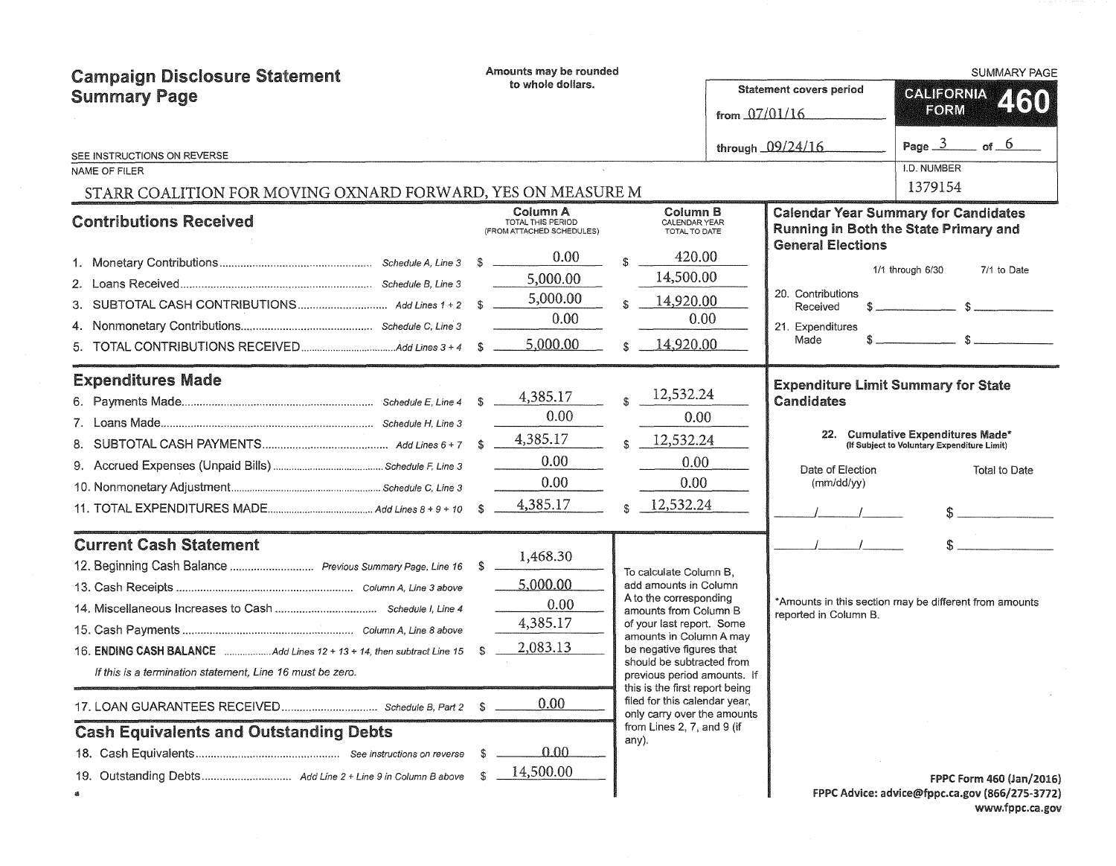| <b>Campaign Disclosure Statement</b><br><b>Summary Page</b>           |    | Amounts may be rounded                         |   |                                                                                            | <b>SUMMARY PAGE</b>                      |                                          |                                                                                  |
|-----------------------------------------------------------------------|----|------------------------------------------------|---|--------------------------------------------------------------------------------------------|------------------------------------------|------------------------------------------|----------------------------------------------------------------------------------|
|                                                                       |    | to whole dollars.                              |   |                                                                                            | Statement covers period<br>from 07/01/16 | <b>CALIFORNIA</b><br>2130<br><b>FORM</b> |                                                                                  |
|                                                                       |    |                                                |   |                                                                                            |                                          | through 09/24/16                         | Page $3$ of $6$                                                                  |
| SEE INSTRUCTIONS ON REVERSE<br>NAME OF FILER                          |    |                                                |   |                                                                                            |                                          |                                          | I.D. NUMBER                                                                      |
| STARR COALITION FOR MOVING OXNARD FORWARD, YES ON MEASURE M           |    |                                                |   |                                                                                            |                                          |                                          | 1379154                                                                          |
|                                                                       |    | Column A                                       |   | Column B                                                                                   |                                          |                                          | <b>Calendar Year Summary for Candidates</b>                                      |
| <b>Contributions Received</b>                                         |    | TOTAL THIS PERIOD<br>(FROM ATTACHED SCHEDULES) |   | CALENDAR YEAR<br>TOTAL TO DATE                                                             |                                          | <b>General Elections</b>                 | <b>Running in Both the State Primary and</b>                                     |
|                                                                       |    | 0.00                                           |   | 420.00                                                                                     |                                          |                                          |                                                                                  |
|                                                                       |    | 5,000.00                                       |   | 14,500.00                                                                                  |                                          |                                          | 1/1 through 6/30<br>7/1 to Date                                                  |
|                                                                       |    | 5,000.00                                       |   | 14,920.00                                                                                  |                                          | 20. Contributions<br>Received            | $s$ $s$                                                                          |
| 4.                                                                    |    | 0.00                                           |   | 0.00                                                                                       |                                          | 21. Expenditures                         |                                                                                  |
| 5.                                                                    |    | 5,000.00                                       | ¢ | 14,920.00                                                                                  |                                          | Made                                     | $\sim$ $\sim$ $\sim$ $\sim$ $\sim$                                               |
| <b>Expenditures Made</b>                                              |    |                                                |   |                                                                                            |                                          |                                          | <b>Expenditure Limit Summary for State</b>                                       |
|                                                                       |    | 4,385.17                                       |   | 12,532.24                                                                                  |                                          | Candidates                               |                                                                                  |
|                                                                       |    | 0.00                                           |   | 0.00                                                                                       |                                          |                                          |                                                                                  |
|                                                                       |    | 4,385.17                                       |   | 12,532.24                                                                                  |                                          |                                          | 22. Cumulative Expenditures Made*<br>(If Subject to Voluntary Expenditure Limit) |
|                                                                       |    | 0.00                                           |   | 0.00                                                                                       |                                          | Date of Election                         | Total to Date                                                                    |
|                                                                       |    | 0.00                                           |   | 0.00                                                                                       |                                          | (mm/dd/yy)                               |                                                                                  |
|                                                                       |    | 4,385.17                                       |   | 12,532.24                                                                                  |                                          |                                          |                                                                                  |
| <b>Current Cash Statement</b>                                         |    |                                                |   |                                                                                            |                                          |                                          |                                                                                  |
| 12. Beginning Cash Balance  Previous Summary Page, Line 16 \$         |    | 1,468.30                                       |   | To calculate Column B.                                                                     |                                          |                                          |                                                                                  |
|                                                                       |    | 5,000.00                                       |   | add amounts in Column                                                                      |                                          |                                          |                                                                                  |
|                                                                       |    | 0.00                                           |   | A to the corresponding<br>amounts from Column B                                            |                                          | reported in Column B.                    | *Amounts in this section may be different from amounts                           |
|                                                                       |    | 4,385.17                                       |   | of your last report. Some<br>amounts in Column A may                                       |                                          |                                          |                                                                                  |
| 16. ENDING CASH BALANCE Add Lines 12 + 13 + 14, then subtract Line 15 |    | 2,083.13                                       |   | be negative figures that                                                                   |                                          |                                          |                                                                                  |
| If this is a termination statement, Line 16 must be zero.             |    |                                                |   | should be subtracted from<br>previous period amounts. If<br>this is the first report being |                                          |                                          |                                                                                  |
|                                                                       |    | 0.00                                           |   | filed for this calendar year,<br>only carry over the amounts                               |                                          |                                          |                                                                                  |
| <b>Cash Equivalents and Outstanding Debts</b>                         |    |                                                |   | from Lines 2, 7, and 9 $($ if<br>any).                                                     |                                          |                                          |                                                                                  |
|                                                                       | S  | 0.00                                           |   |                                                                                            |                                          |                                          |                                                                                  |
|                                                                       | £. | 14,500.00                                      |   |                                                                                            |                                          |                                          | FPPC Form 460 (Jan/2016)                                                         |
|                                                                       |    |                                                |   |                                                                                            |                                          |                                          | FPPC Advice: advice@fppc.ca.gov (866/275-3772)                                   |

www.fppc.ca.gov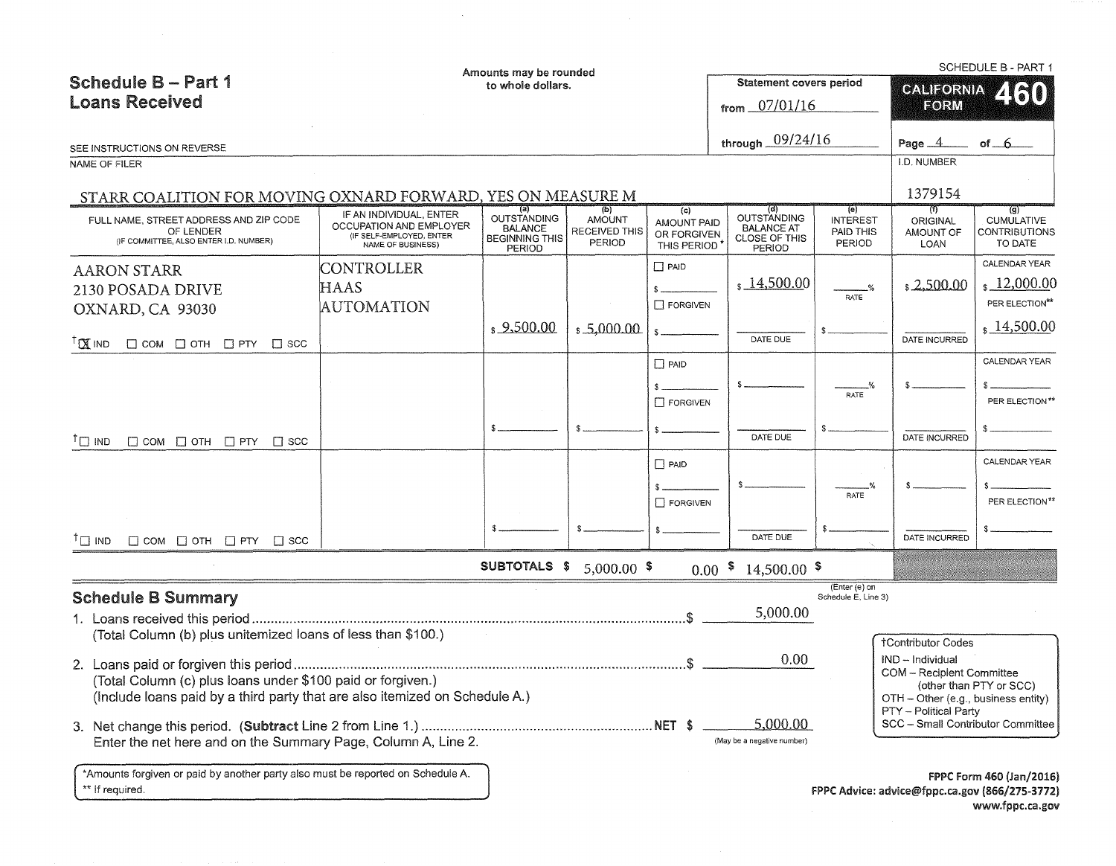|                                                                                                                                            |                                                                                                     | Amounts may be rounded                                                               |                                                                   |                                                  |                                                                                  |                                               |                                                                         | <b>SCHEDULE B - PART 1</b>                                                 |
|--------------------------------------------------------------------------------------------------------------------------------------------|-----------------------------------------------------------------------------------------------------|--------------------------------------------------------------------------------------|-------------------------------------------------------------------|--------------------------------------------------|----------------------------------------------------------------------------------|-----------------------------------------------|-------------------------------------------------------------------------|----------------------------------------------------------------------------|
| Schedule B - Part 1                                                                                                                        |                                                                                                     | to whole dollars.                                                                    |                                                                   |                                                  | <b>Statement covers period</b>                                                   |                                               | <b>CALIFORNIA</b>                                                       |                                                                            |
| <b>Loans Received</b>                                                                                                                      |                                                                                                     |                                                                                      |                                                                   |                                                  | from $07/01/16$                                                                  |                                               | EORM                                                                    | 2130                                                                       |
| SEE INSTRUCTIONS ON REVERSE                                                                                                                |                                                                                                     |                                                                                      |                                                                   |                                                  | through 09/24/16                                                                 |                                               | Page $\_\$                                                              | of $6$                                                                     |
| NAME OF FILER                                                                                                                              |                                                                                                     |                                                                                      |                                                                   |                                                  |                                                                                  |                                               | I.D. NUMBER                                                             |                                                                            |
| STARR COALITION FOR MOVING OXNARD FORWARD, YES ON MEASURE M                                                                                |                                                                                                     |                                                                                      |                                                                   |                                                  |                                                                                  |                                               | 1379154                                                                 |                                                                            |
| FULL NAME. STREET ADDRESS AND ZIP CODE<br>OF LENDER<br>(IF COMMITTEE, ALSO ENTER I.D. NUMBER)                                              | IF AN INDIVIDUAL, ENTER<br>OCCUPATION AND EMPLOYER<br>(IF SELF-EMPLOYED, ENTER<br>NAME OF BUSINESS) | าส<br><b>OUTSTANDING</b><br><b>BALANCE</b><br><b>BEGINNING THIS</b><br><b>PERIOD</b> | $\overline{b}$<br>AMOUNT<br><b>RECEIVED THIS</b><br><b>PERIOD</b> | (c)<br>AMOUNT PAID<br>OR FORGIVEN<br>THIS PERIOD | (d)<br><b>OUTSTANDING</b><br><b>BALANCE AT</b><br><b>CLOSE OF THIS</b><br>PERIOD | (e)<br><b>INTEREST</b><br>PAID THIS<br>PERIOD | ŢТ<br><b>ORIGINAL</b><br>AMOUNT OF<br><b>LOAN</b>                       | $\overline{g}$<br><b>CUMULATIVE</b><br><b>CONTRIBUTIONS</b><br>TO DATE     |
| <b>AARON STARR</b>                                                                                                                         | CONTROLLER                                                                                          |                                                                                      |                                                                   | $\Box$ PAID                                      |                                                                                  |                                               |                                                                         | CALENDAR YEAR                                                              |
| 2130 POSADA DRIVE                                                                                                                          | <b>HAAS</b>                                                                                         |                                                                                      |                                                                   |                                                  | $\frac{14,500.00}{2}$                                                            | $\frac{9}{6}$                                 | \$2,500.00                                                              | 12,000.00                                                                  |
| OXNARD, CA 93030                                                                                                                           | <b>AUTOMATION</b>                                                                                   |                                                                                      |                                                                   | <b>T FORGIVEN</b>                                |                                                                                  | RATE                                          |                                                                         | PER ELECTION**                                                             |
| <sup>T</sup> X IND<br>$\Box$ COM $\Box$ OTH $\Box$ PTY $\Box$ SCC                                                                          |                                                                                                     | \$9,500.00                                                                           | \$5,000.00                                                        |                                                  | DATE DUE                                                                         |                                               | DATE INCURRED                                                           | \$14,500.00                                                                |
|                                                                                                                                            |                                                                                                     |                                                                                      |                                                                   | $\Box$ PAID                                      |                                                                                  |                                               |                                                                         | CALENDAR YEAR                                                              |
|                                                                                                                                            |                                                                                                     |                                                                                      |                                                                   |                                                  |                                                                                  |                                               |                                                                         |                                                                            |
|                                                                                                                                            |                                                                                                     |                                                                                      |                                                                   | $\Box$ FORGIVEN                                  |                                                                                  | RATE                                          |                                                                         | PER ELECTION**                                                             |
|                                                                                                                                            |                                                                                                     |                                                                                      |                                                                   |                                                  |                                                                                  |                                               |                                                                         |                                                                            |
| $T \square$ IND<br>$\Box$ COM $\Box$ OTH $\Box$ PTY $\Box$ SCC                                                                             |                                                                                                     |                                                                                      |                                                                   |                                                  | DATE DUE                                                                         |                                               | DATE INCURRED                                                           |                                                                            |
|                                                                                                                                            |                                                                                                     |                                                                                      |                                                                   | $\Box$ PAID                                      |                                                                                  |                                               |                                                                         | CALENDAR YEAR                                                              |
|                                                                                                                                            |                                                                                                     |                                                                                      |                                                                   |                                                  |                                                                                  |                                               |                                                                         |                                                                            |
|                                                                                                                                            |                                                                                                     |                                                                                      |                                                                   | FORGIVEN                                         |                                                                                  | <b>RATE</b>                                   |                                                                         | PER ELECTION**                                                             |
|                                                                                                                                            |                                                                                                     |                                                                                      |                                                                   |                                                  |                                                                                  |                                               |                                                                         |                                                                            |
| $\Box$ COM $\Box$ OTH $\Box$ PTY $\Box$ SCC<br>$T \square$ IND                                                                             |                                                                                                     |                                                                                      |                                                                   |                                                  | DATE DUE                                                                         |                                               | DATE INCURRED                                                           |                                                                            |
|                                                                                                                                            |                                                                                                     | SUBTOTALS \$                                                                         | $5,000.00$ \$                                                     |                                                  | $0.00$ \$<br>$14,500.00$ \$                                                      |                                               |                                                                         |                                                                            |
| <b>Schedule B Summary</b>                                                                                                                  |                                                                                                     |                                                                                      |                                                                   |                                                  |                                                                                  | (Enter (e) on<br>Schedule E, Line 3)          |                                                                         |                                                                            |
| 1. Loans received this period                                                                                                              |                                                                                                     |                                                                                      |                                                                   |                                                  | 5,000.00                                                                         |                                               |                                                                         |                                                                            |
| (Total Column (b) plus unitemized loans of less than \$100.)                                                                               |                                                                                                     |                                                                                      |                                                                   |                                                  |                                                                                  |                                               | <b>†Contributor Codes</b>                                               |                                                                            |
|                                                                                                                                            |                                                                                                     |                                                                                      |                                                                   |                                                  | 0.00                                                                             |                                               | IND - Individual                                                        |                                                                            |
| (Total Column (c) plus loans under \$100 paid or forgiven.)<br>(Include loans paid by a third party that are also itemized on Schedule A.) |                                                                                                     |                                                                                      |                                                                   |                                                  |                                                                                  |                                               | <b>COM</b> - Recipient Committee<br>OTH - Other (e.g., business entity) | (other than PTY or SCC)                                                    |
|                                                                                                                                            |                                                                                                     |                                                                                      |                                                                   |                                                  | 5,000.00                                                                         |                                               | PTY - Political Party<br>SCC - Small Contributor Committee              |                                                                            |
| Enter the net here and on the Summary Page, Column A, Line 2.                                                                              |                                                                                                     |                                                                                      |                                                                   |                                                  | (May be a negative number)                                                       |                                               |                                                                         |                                                                            |
| *Amounts forgiven or paid by another party also must be reported on Schedule A.<br>** If required.                                         |                                                                                                     |                                                                                      |                                                                   |                                                  |                                                                                  |                                               |                                                                         | FPPC Form 460 (Jan/2016)<br>FPPC Advice: advice@fppc.ca.gov (866/275-3772) |

 $\sim$   $\sim$ 

www.fppc.ca.gov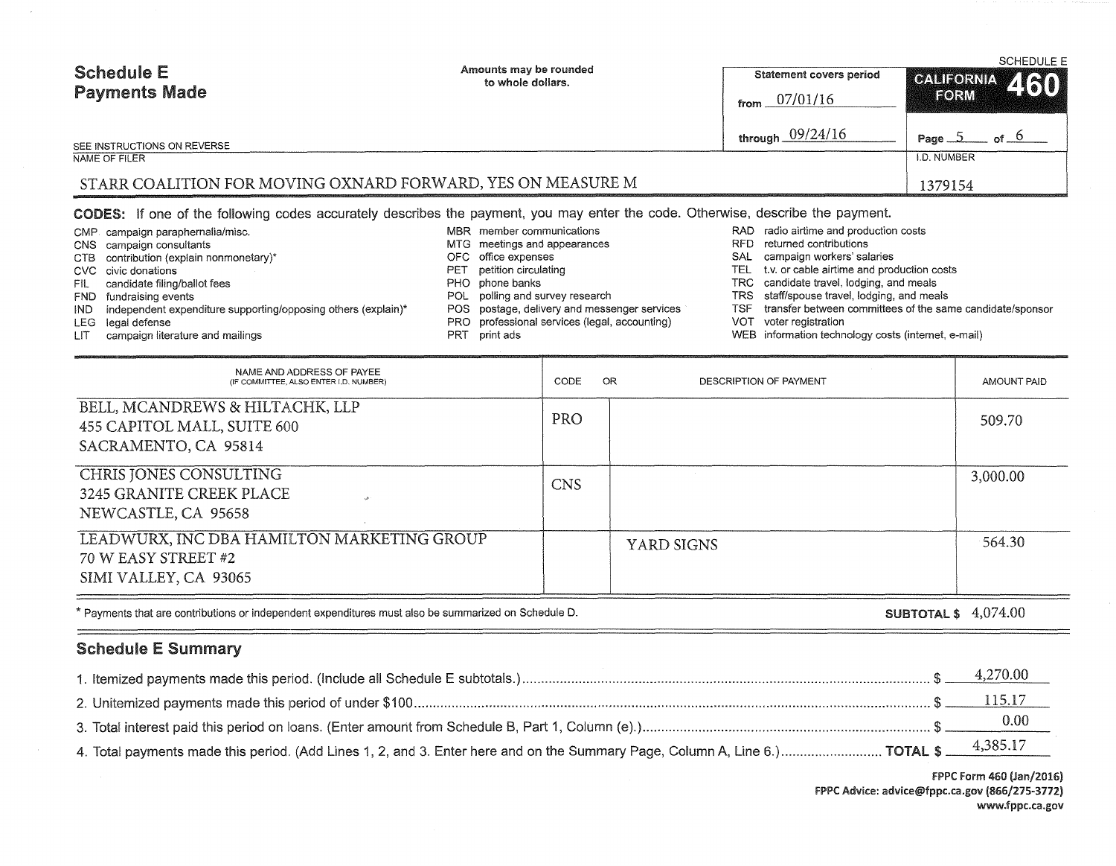| <b>Schedule E</b><br><b>Payments Made</b>                   | Amounts may be rounded<br>to whole dollars. | Statement covers period<br>07/01/16<br>from | <b>SCHEDULE E</b><br>CALIFORNIA 460<br><b>EORM</b> |
|-------------------------------------------------------------|---------------------------------------------|---------------------------------------------|----------------------------------------------------|
| SEE INSTRUCTIONS ON REVERSE                                 |                                             | through $09/24/16$                          | of $\circ$<br>Page $\Delta$                        |
| NAME OF FILER                                               |                                             |                                             | <b>I.D. NUMBER</b>                                 |
| STARR COALITION FOR MOVING OXNARD FORWARD, YES ON MEASURE M |                                             |                                             | 1379154                                            |

CODES: If one of the following codes accurately describes the payment, you may enter the code. Otherwise, describe the payment.

|      | CMP campaign paraphernalia/misc.                              |     | MBR member communications                     |     | RAD radio airtime and production costs                    |
|------|---------------------------------------------------------------|-----|-----------------------------------------------|-----|-----------------------------------------------------------|
|      | CNS campaign consultants                                      |     | MTG meetings and appearances                  |     | RFD returned contributions                                |
|      | CTB contribution (explain nonmonetary)*                       |     | OFC office expenses                           | SAL | campaign workers' salaries                                |
|      | CVC civic donations                                           |     | PET petition circulating                      |     | TEL t.v. or cable airtime and production costs            |
|      | FIL candidate filing/ballot fees                              |     | PHO phone banks                               |     | TRC candidate travel, lodging, and meals                  |
|      | FND fundraising events                                        |     | POL polling and survey research               |     | TRS staff/spouse travel, lodging, and meals               |
| IND. | independent expenditure supporting/opposing others (explain)* |     | POS postage, delivery and messenger services  | TSF | transfer between committees of the same candidate/sponsor |
|      | LEG legal defense                                             |     | PRO professional services (legal, accounting) | VOT | voter registration                                        |
| LIT. | campaign literature and mailings                              | PRT | print ads                                     |     | WEB information technology costs (internet, e-mail)       |

| NAME AND ADDRESS OF PAYEE<br>(IF COMMITTEE, ALSO ENTER I,D, NUMBER)                        | CODE       | OR<br>DESCRIPTION OF PAYMENT | AMOUNT PAID |
|--------------------------------------------------------------------------------------------|------------|------------------------------|-------------|
| BELL, MCANDREWS & HILTACHK, LLP<br>455 CAPITOL MALL, SUITE 600<br>SACRAMENTO, CA 95814     | PRO        |                              | 509.70      |
| CHRIS JONES CONSULTING<br>3245 GRANITE CREEK PLACE<br>NEWCASTLE, CA 95658                  | <b>CNS</b> |                              | 3,000.00    |
| LEADWURX, INC DBA HAMILTON MARKETING GROUP<br>70 W EASY STREET #2<br>SIMI VALLEY, CA 93065 |            | YARD SIGNS                   | 564.30      |

\* Payments that are contributions or independent expenditures must also be summarized on Schedule D.

SUBTOTAL\$ 4,074.00

# Schedule E Summary

 $=$ 

|                                                                                                                                      | 4,270.00 |
|--------------------------------------------------------------------------------------------------------------------------------------|----------|
|                                                                                                                                      |          |
|                                                                                                                                      |          |
| 4, Total payments made this period. (Add Lines 1, 2, and 3. Enter here and on the Summary Page, Column A, Line 6.) TOTAL \$ 4,385.17 |          |